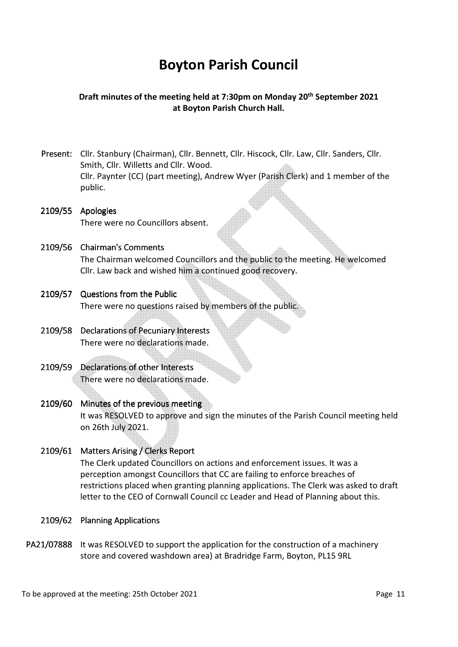# **Boyton Parish Council**

## **Draft minutes of the meeting held at 7:30pm on Monday 20th September 2021 at Boyton Parish Church Hall.**

- Present: Cllr. Stanbury (Chairman), Cllr. Bennett, Cllr. Hiscock, Cllr. Law, Cllr. Sanders, Cllr. Smith, Cllr. Willetts and Cllr. Wood. Cllr. Paynter (CC) (part meeting), Andrew Wyer (Parish Clerk) and 1 member of the public.
- 2109/55 Apologies There were no Councillors absent.
- 2109/56 Chairman's Comments The Chairman welcomed Councillors and the public to the meeting. He welcomed Cllr. Law back and wished him a continued good recovery.
- 2109/57 Questions from the Public

There were no questions raised by members of the public.

- 2109/58 Declarations of Pecuniary Interests There were no declarations made.
- 2109/59 Declarations of other Interests There were no declarations made.
- 2109/60 Minutes of the previous meeting It was RESOLVED to approve and sign the minutes of the Parish Council meeting held on 26th July 2021.
- 2109/61 Matters Arising / Clerks Report The Clerk updated Councillors on actions and enforcement issues. It was a perception amongst Councillors that CC are failing to enforce breaches of restrictions placed when granting planning applications. The Clerk was asked to draft letter to the CEO of Cornwall Council cc Leader and Head of Planning about this.
- 2109/62 Planning Applications
- PA21/07888 It was RESOLVED to support the application for the construction of a machinery store and covered washdown area) at Bradridge Farm, Boyton, PL15 9RL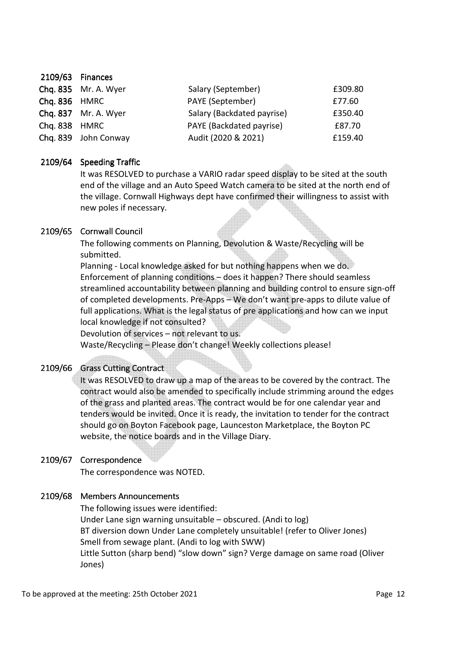|               | Chq. 835 Mr. A. Wyer | Salary (September)         | £309.80 |
|---------------|----------------------|----------------------------|---------|
| Chq. 836 HMRC |                      | PAYE (September)           | £77.60  |
|               | Chq. 837 Mr. A. Wyer | Salary (Backdated payrise) | £350.40 |
| Chq. 838 HMRC |                      | PAYE (Backdated payrise)   | £87.70  |
|               | Chq. 839 John Conway | Audit (2020 & 2021)        | £159.40 |

### 2109/64 Speeding Traffic

 It was RESOLVED to purchase a VARIO radar speed display to be sited at the south end of the village and an Auto Speed Watch camera to be sited at the north end of the village. Cornwall Highways dept have confirmed their willingness to assist with new poles if necessary.

#### 2109/65 Cornwall Council

 The following comments on Planning, Devolution & Waste/Recycling will be submitted.

Planning - Local knowledge asked for but nothing happens when we do. Enforcement of planning conditions – does it happen? There should seamless streamlined accountability between planning and building control to ensure sign-off of completed developments. Pre-Apps – We don't want pre-apps to dilute value of full applications. What is the legal status of pre applications and how can we input local knowledge if not consulted?

Devolution of services – not relevant to us.

Waste/Recycling – Please don't change! Weekly collections please!

### 2109/66 Grass Cutting Contract

 It was RESOLVED to draw up a map of the areas to be covered by the contract. The contract would also be amended to specifically include strimming around the edges of the grass and planted areas. The contract would be for one calendar year and tenders would be invited. Once it is ready, the invitation to tender for the contract should go on Boyton Facebook page, Launceston Marketplace, the Boyton PC website, the notice boards and in the Village Diary.

### 2109/67 Correspondence

The correspondence was NOTED.

### 2109/68 Members Announcements

 The following issues were identified: Under Lane sign warning unsuitable – obscured. (Andi to log) BT diversion down Under Lane completely unsuitable! (refer to Oliver Jones) Smell from sewage plant. (Andi to log with SWW) Little Sutton (sharp bend) "slow down" sign? Verge damage on same road (Oliver Jones)